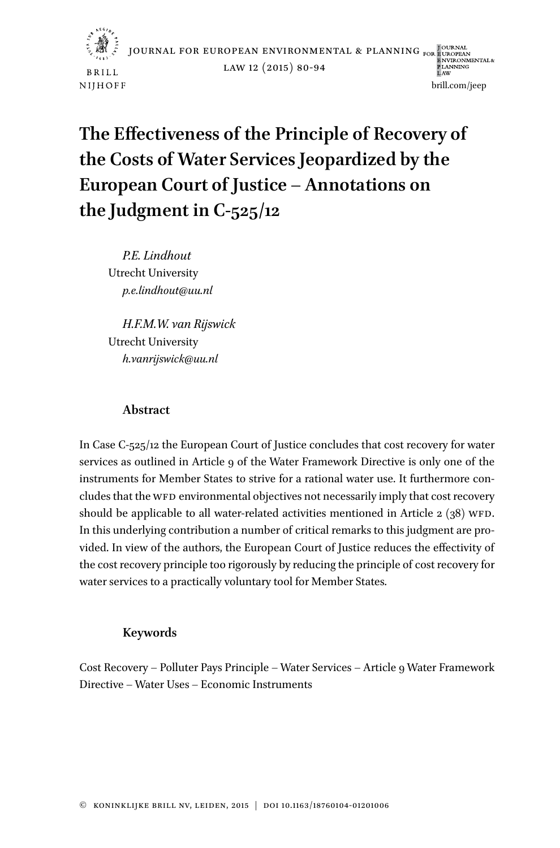journal for european environmental & planning



 $e^{\lambda t G/\rho}$ 

law 12 (2015) 80-94

brill.com/jeep

# **The Effectiveness of the Principle of Recovery of the Costs of Water Services Jeopardized by the European Court of Justice – Annotations on the Judgment in C-525/12**

*P.E. Lindhout* Utrecht University *p.e.lindhout@uu.nl*

*H.F.M.W. van Rijswick* Utrecht University *h.vanrijswick@uu.nl*

## **Abstract**

In Case C-525/12 the European Court of Justice concludes that cost recovery for water services as outlined in Article 9 of the Water Framework Directive is only one of the instruments for Member States to strive for a rational water use. It furthermore concludes that the WFD environmental objectives not necessarily imply that cost recovery should be applicable to all water-related activities mentioned in Article  $2$  (38) WFD. In this underlying contribution a number of critical remarks to this judgment are provided. In view of the authors, the European Court of Justice reduces the effectivity of the cost recovery principle too rigorously by reducing the principle of cost recovery for water services to a practically voluntary tool for Member States.

## **Keywords**

Cost Recovery – Polluter Pays Principle – Water Services – Article 9 Water Framework Directive – Water Uses – Economic Instruments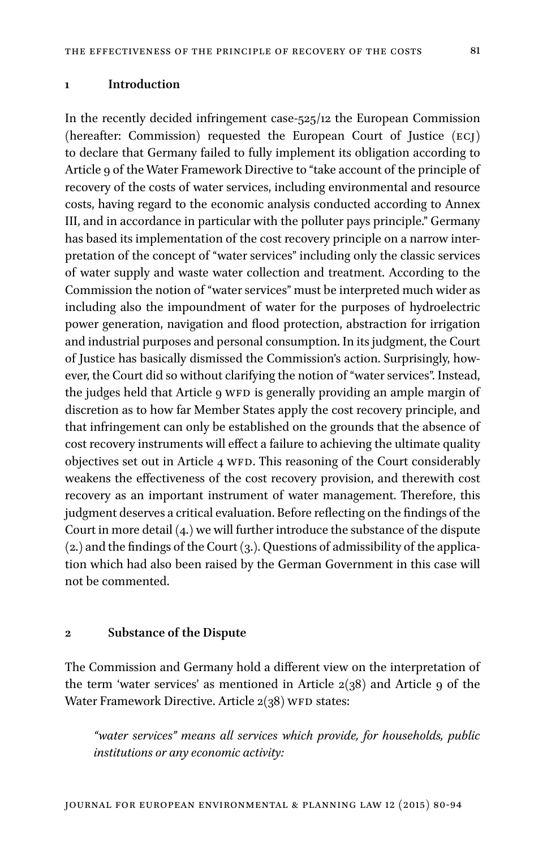### **1 Introduction**

In the recently decided infringement case-525/12 the European Commission (hereafter: Commission) requested the European Court of Justice  $(ECI)$ to declare that Germany failed to fully implement its obligation according to Article 9 of the Water Framework Directive to "take account of the principle of recovery of the costs of water services, including environmental and resource costs, having regard to the economic analysis conducted according to Annex III, and in accordance in particular with the polluter pays principle." Germany has based its implementation of the cost recovery principle on a narrow interpretation of the concept of "water services" including only the classic services of water supply and waste water collection and treatment. According to the Commission the notion of "water services" must be interpreted much wider as including also the impoundment of water for the purposes of hydroelectric power generation, navigation and flood protection, abstraction for irrigation and industrial purposes and personal consumption. In its judgment, the Court of Justice has basically dismissed the Commission's action. Surprisingly, however, the Court did so without clarifying the notion of "water services". Instead, the judges held that Article 9 WFD is generally providing an ample margin of discretion as to how far Member States apply the cost recovery principle, and that infringement can only be established on the grounds that the absence of cost recovery instruments will effect a failure to achieving the ultimate quality objectives set out in Article 4 WFD. This reasoning of the Court considerably weakens the effectiveness of the cost recovery provision, and therewith cost recovery as an important instrument of water management. Therefore, this judgment deserves a critical evaluation. Before reflecting on the findings of the Court in more detail (4.) we will further introduce the substance of the dispute (2.) and the findings of the Court (3.). Questions of admissibility of the application which had also been raised by the German Government in this case will not be commented.

#### **2 Substance of the Dispute**

The Commission and Germany hold a different view on the interpretation of the term 'water services' as mentioned in Article  $2(38)$  and Article 9 of the Water Framework Directive. Article  $2(38)$  WFD states:

*"water services" means all services which provide, for households, public institutions or any economic activity:*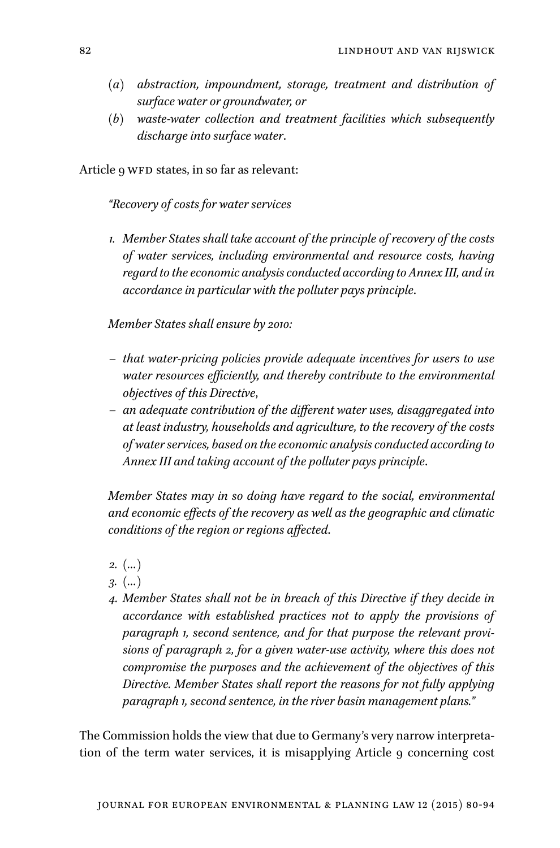- *(a) abstraction, impoundment, storage, treatment and distribution of surface water or groundwater, or*
- *(b) waste-water collection and treatment facilities which subsequently discharge into surface water*.

Article 9 WFD states, in so far as relevant:

*"Recovery of costs for water services*

*1. Member States shall take account of the principle of recovery of the costs of water services, including environmental and resource costs, having regard to the economic analysis conducted according to Annex III, and in accordance in particular with the polluter pays principle*.

*Member States shall ensure by 2010:*

- *– that water-pricing policies provide adequate incentives for users to use water resources efficiently, and thereby contribute to the environmental objectives of this Directive*,
- *– an adequate contribution of the different water uses, disaggregated into at least industry, households and agriculture, to the recovery of the costs of water services, based on the economic analysis conducted according to Annex III and taking account of the polluter pays principle*.

*Member States may in so doing have regard to the social, environmental and economic effects of the recovery as well as the geographic and climatic conditions of the region or regions affected*.

- *2. (…)*
- *3. (…)*
- *4. Member States shall not be in breach of this Directive if they decide in accordance with established practices not to apply the provisions of paragraph 1, second sentence, and for that purpose the relevant provisions of paragraph 2, for a given water-use activity, where this does not compromise the purposes and the achievement of the objectives of this Directive. Member States shall report the reasons for not fully applying paragraph 1, second sentence, in the river basin management plans."*

The Commission holds the view that due to Germany's very narrow interpretation of the term water services, it is misapplying Article 9 concerning cost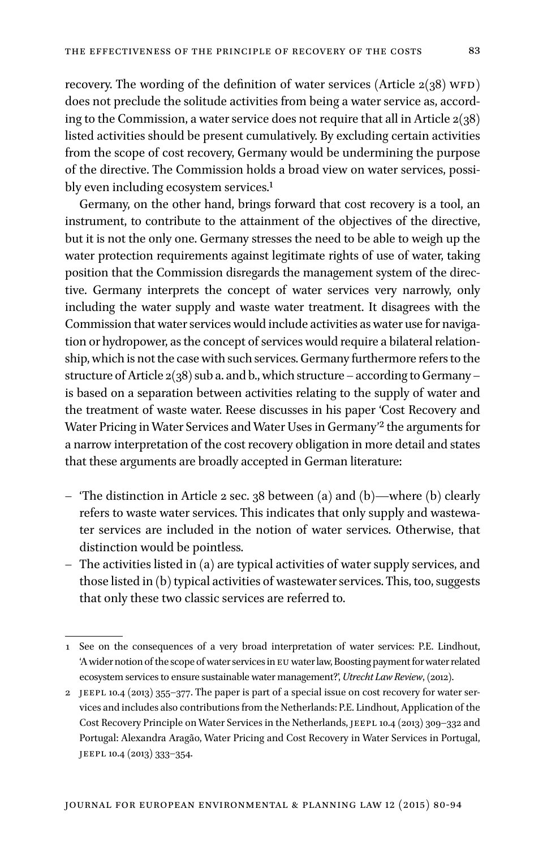recovery. The wording of the definition of water services (Article  $2(38)$  WFD) does not preclude the solitude activities from being a water service as, according to the Commission, a water service does not require that all in Article  $2(38)$ listed activities should be present cumulatively. By excluding certain activities from the scope of cost recovery, Germany would be undermining the purpose of the directive. The Commission holds a broad view on water services, possibly even including ecosystem services.<sup>1</sup>

Germany, on the other hand, brings forward that cost recovery is a tool, an instrument, to contribute to the attainment of the objectives of the directive, but it is not the only one. Germany stresses the need to be able to weigh up the water protection requirements against legitimate rights of use of water, taking position that the Commission disregards the management system of the directive. Germany interprets the concept of water services very narrowly, only including the water supply and waste water treatment. It disagrees with the Commission that water services would include activities as water use for navigation or hydropower, as the concept of services would require a bilateral relationship, which is not the case with such services. Germany furthermore refers to the structure of Article  $2(38)$  sub a. and b., which structure – according to Germany – is based on a separation between activities relating to the supply of water and the treatment of waste water. Reese discusses in his paper 'Cost Recovery and Water Pricing in Water Services and Water Uses in Germany'2 the arguments for a narrow interpretation of the cost recovery obligation in more detail and states that these arguments are broadly accepted in German literature:

- 'The distinction in Article 2 sec. 38 between (a) and (b)—where (b) clearly refers to waste water services. This indicates that only supply and wastewater services are included in the notion of water services. Otherwise, that distinction would be pointless.
- The activities listed in (a) are typical activities of water supply services, and those listed in (b) typical activities of wastewater services. This, too, suggests that only these two classic services are referred to.

<sup>1</sup> See on the consequences of a very broad interpretation of water services: P.E. Lindhout, 'A wider notion of the scope of water services in eu water law, Boosting payment for water related ecosystem services to ensure sustainable water management?', *Utrecht Law Review*, (2012).

<sup>2</sup> jeepl 10.4 (2013) 355–377. The paper is part of a special issue on cost recovery for water services and includes also contributions from the Netherlands: P.E. Lindhout, Application of the Cost Recovery Principle on Water Services in the Netherlands, JEEPL 10.4 (2013) 309-332 and Portugal: Alexandra Aragão, Water Pricing and Cost Recovery in Water Services in Portugal, jeepl 10.4 (2013) 333–354.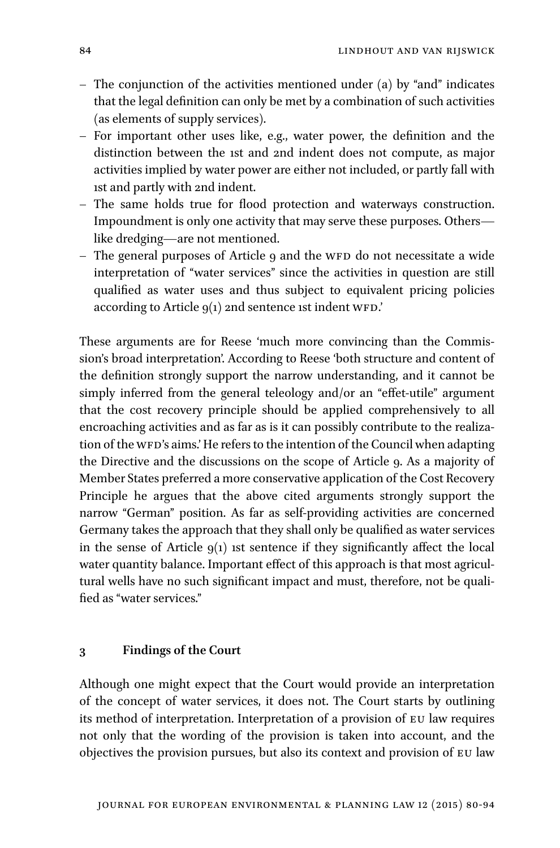84 LINDHOUT AND VAN RIJSWICK

- The conjunction of the activities mentioned under (a) by "and" indicates that the legal definition can only be met by a combination of such activities (as elements of supply services).
- For important other uses like, e.g., water power, the definition and the distinction between the 1st and 2nd indent does not compute, as major activities implied by water power are either not included, or partly fall with 1st and partly with 2nd indent.
- The same holds true for flood protection and waterways construction. Impoundment is only one activity that may serve these purposes. Others like dredging—are not mentioned.
- $-$  The general purposes of Article 9 and the WFD do not necessitate a wide interpretation of "water services" since the activities in question are still qualified as water uses and thus subject to equivalent pricing policies according to Article  $g(1)$  and sentence 1st indent WFD.'

These arguments are for Reese 'much more convincing than the Commission's broad interpretation'. According to Reese 'both structure and content of the definition strongly support the narrow understanding, and it cannot be simply inferred from the general teleology and/or an "effet-utile" argument that the cost recovery principle should be applied comprehensively to all encroaching activities and as far as is it can possibly contribute to the realization of the WFD's aims.' He refers to the intention of the Council when adapting the Directive and the discussions on the scope of Article 9. As a majority of Member States preferred a more conservative application of the Cost Recovery Principle he argues that the above cited arguments strongly support the narrow "German" position. As far as self-providing activities are concerned Germany takes the approach that they shall only be qualified as water services in the sense of Article  $g(1)$  ist sentence if they significantly affect the local water quantity balance. Important effect of this approach is that most agricultural wells have no such significant impact and must, therefore, not be qualified as "water services."

#### **3 Findings of the Court**

Although one might expect that the Court would provide an interpretation of the concept of water services, it does not. The Court starts by outlining its method of interpretation. Interpretation of a provision of eu law requires not only that the wording of the provision is taken into account, and the objectives the provision pursues, but also its context and provision of eu law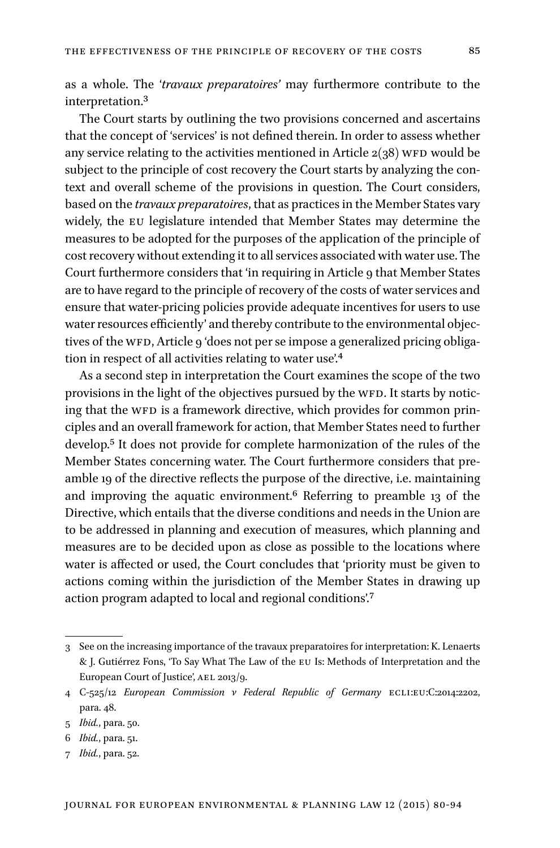as a whole. The '*travaux preparatoires'* may furthermore contribute to the interpretation.3

The Court starts by outlining the two provisions concerned and ascertains that the concept of 'services' is not defined therein. In order to assess whether any service relating to the activities mentioned in Article  $2(38)$  WFD would be subject to the principle of cost recovery the Court starts by analyzing the context and overall scheme of the provisions in question. The Court considers, based on the *travaux preparatoires*, that as practices in the Member States vary widely, the eu legislature intended that Member States may determine the measures to be adopted for the purposes of the application of the principle of cost recovery without extending it to all services associated with water use. The Court furthermore considers that 'in requiring in Article 9 that Member States are to have regard to the principle of recovery of the costs of water services and ensure that water-pricing policies provide adequate incentives for users to use water resources efficiently' and thereby contribute to the environmental objectives of the WFD, Article 9 'does not per se impose a generalized pricing obligation in respect of all activities relating to water use'.4

As a second step in interpretation the Court examines the scope of the two provisions in the light of the objectives pursued by the WFD. It starts by noticing that the WFD is a framework directive, which provides for common principles and an overall framework for action, that Member States need to further develop.5 It does not provide for complete harmonization of the rules of the Member States concerning water. The Court furthermore considers that preamble 19 of the directive reflects the purpose of the directive, i.e. maintaining and improving the aquatic environment.6 Referring to preamble 13 of the Directive, which entails that the diverse conditions and needs in the Union are to be addressed in planning and execution of measures, which planning and measures are to be decided upon as close as possible to the locations where water is affected or used, the Court concludes that 'priority must be given to actions coming within the jurisdiction of the Member States in drawing up action program adapted to local and regional conditions'.7

7 *Ibid.*, para. 52.

<sup>3</sup> See on the increasing importance of the travaux preparatoires for interpretation: K. Lenaerts & J. Gutiérrez Fons, 'To Say What The Law of the eu Is: Methods of Interpretation and the European Court of Justice', AEL 2013/9.

<sup>4</sup> C-525/12 *European Commission v Federal Republic of Germany* ecli:eu:C:2014:2202, para. 48.

<sup>5</sup> *Ibid.*, para. 50.

<sup>6</sup> *Ibid.*, para. 51.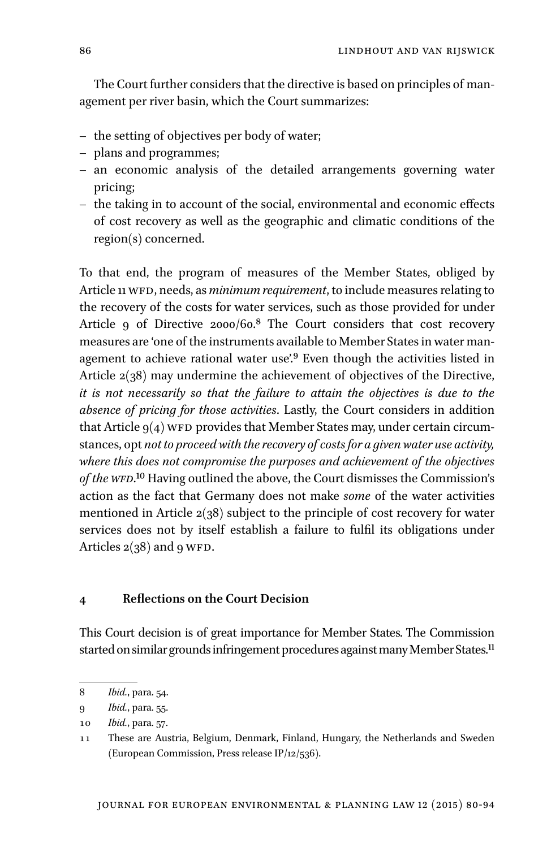The Court further considers that the directive is based on principles of management per river basin, which the Court summarizes:

- the setting of objectives per body of water;
- plans and programmes;
- an economic analysis of the detailed arrangements governing water pricing;
- the taking in to account of the social, environmental and economic effects of cost recovery as well as the geographic and climatic conditions of the region(s) concerned.

To that end, the program of measures of the Member States, obliged by Article 11 WFD, needs, as *minimum requirement*, to include measures relating to the recovery of the costs for water services, such as those provided for under Article 9 of Directive  $2000/60$ .<sup>8</sup> The Court considers that cost recovery measures are 'one of the instruments available to Member States in water management to achieve rational water use'.<sup>9</sup> Even though the activities listed in Article 2(38) may undermine the achievement of objectives of the Directive, *it is not necessarily so that the failure to attain the objectives is due to the absence of pricing for those activities*. Lastly, the Court considers in addition that Article  $g(4)$  wfd provides that Member States may, under certain circumstances, opt *not to proceed with the recovery of costs for a given water use activity, where this does not compromise the purposes and achievement of the objectives*  of the WFD.<sup>10</sup> Having outlined the above, the Court dismisses the Commission's action as the fact that Germany does not make *some* of the water activities mentioned in Article 2(38) subject to the principle of cost recovery for water services does not by itself establish a failure to fulfil its obligations under Articles  $2(38)$  and 9 WFD.

### **4 Reflections on the Court Decision**

This Court decision is of great importance for Member States. The Commission started on similar grounds infringement procedures against many Member States.11

10 *Ibid.*, para. 57.

<sup>8</sup> *Ibid.*, para. 54.

<sup>9</sup> *Ibid.*, para. 55.

<sup>11</sup> These are Austria, Belgium, Denmark, Finland, Hungary, the Netherlands and Sweden (European Commission, Press release IP/12/536).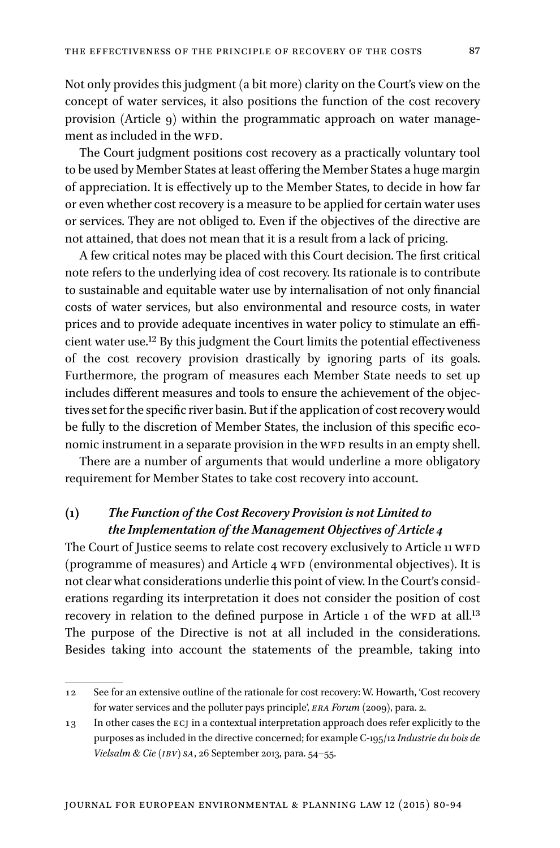Not only provides this judgment (a bit more) clarity on the Court's view on the concept of water services, it also positions the function of the cost recovery provision (Article 9) within the programmatic approach on water management as included in the WFD.

The Court judgment positions cost recovery as a practically voluntary tool to be used by Member States at least offering the Member States a huge margin of appreciation. It is effectively up to the Member States, to decide in how far or even whether cost recovery is a measure to be applied for certain water uses or services. They are not obliged to. Even if the objectives of the directive are not attained, that does not mean that it is a result from a lack of pricing.

A few critical notes may be placed with this Court decision. The first critical note refers to the underlying idea of cost recovery. Its rationale is to contribute to sustainable and equitable water use by internalisation of not only financial costs of water services, but also environmental and resource costs, in water prices and to provide adequate incentives in water policy to stimulate an efficient water use.12 By this judgment the Court limits the potential effectiveness of the cost recovery provision drastically by ignoring parts of its goals. Furthermore, the program of measures each Member State needs to set up includes different measures and tools to ensure the achievement of the objectives set for the specific river basin. But if the application of cost recovery would be fully to the discretion of Member States, the inclusion of this specific economic instrument in a separate provision in the WFD results in an empty shell.

There are a number of arguments that would underline a more obligatory requirement for Member States to take cost recovery into account.

## **(1)** *The Function of the Cost Recovery Provision is not Limited to the Implementation of the Management Objectives of Article 4*

The Court of Justice seems to relate cost recovery exclusively to Article 11 WFD (programme of measures) and Article 4 WFD (environmental objectives). It is not clear what considerations underlie this point of view. In the Court's considerations regarding its interpretation it does not consider the position of cost recovery in relation to the defined purpose in Article  $1$  of the WFD at all.<sup>13</sup> The purpose of the Directive is not at all included in the considerations. Besides taking into account the statements of the preamble, taking into

<sup>12</sup> See for an extensive outline of the rationale for cost recovery: W. Howarth, 'Cost recovery for water services and the polluter pays principle', *era Forum* (2009), para. 2.

<sup>13</sup> In other cases the ecj in a contextual interpretation approach does refer explicitly to the purposes as included in the directive concerned; for example C-195/12 *Industrie du bois de Vielsalm & Cie (ibv) sa*, 26 September 2013, para. 54–55.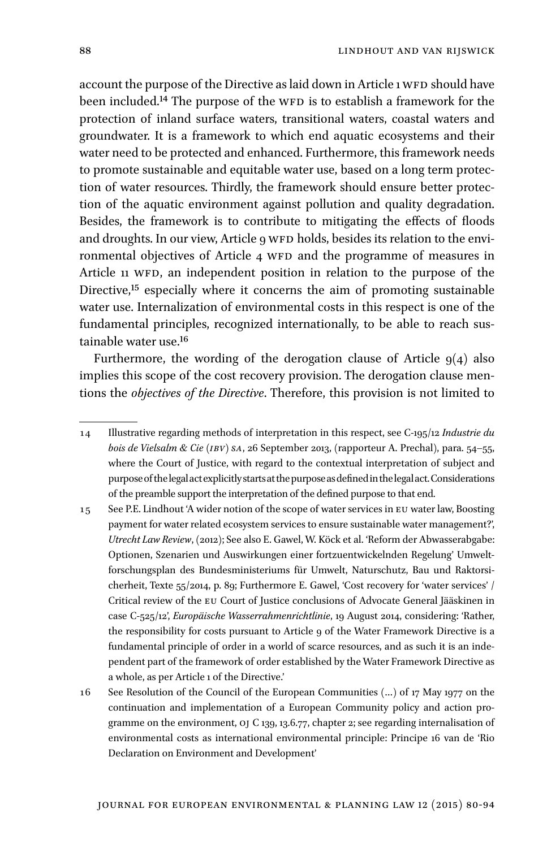account the purpose of the Directive as laid down in Article 1 WFD should have been included.<sup>14</sup> The purpose of the WFD is to establish a framework for the protection of inland surface waters, transitional waters, coastal waters and groundwater. It is a framework to which end aquatic ecosystems and their water need to be protected and enhanced. Furthermore, this framework needs to promote sustainable and equitable water use, based on a long term protection of water resources. Thirdly, the framework should ensure better protection of the aquatic environment against pollution and quality degradation. Besides, the framework is to contribute to mitigating the effects of floods and droughts. In our view, Article 9 WFD holds, besides its relation to the environmental objectives of Article 4 WFD and the programme of measures in Article 11 WFD, an independent position in relation to the purpose of the Directive,15 especially where it concerns the aim of promoting sustainable water use. Internalization of environmental costs in this respect is one of the fundamental principles, recognized internationally, to be able to reach sustainable water use.16

Furthermore, the wording of the derogation clause of Article  $g(4)$  also implies this scope of the cost recovery provision. The derogation clause mentions the *objectives of the Directive*. Therefore, this provision is not limited to

<sup>14</sup> Illustrative regarding methods of interpretation in this respect, see C-195/12 *Industrie du bois de Vielsalm & Cie (ibv) sa*, 26 September 2013, (rapporteur A. Prechal), para. 54–55, where the Court of Justice, with regard to the contextual interpretation of subject and purpose of the legal act explicitly starts at the purpose as defined in the legal act. Considerations of the preamble support the interpretation of the defined purpose to that end.

<sup>15</sup> See P.E. Lindhout 'A wider notion of the scope of water services in eu water law, Boosting payment for water related ecosystem services to ensure sustainable water management?', *Utrecht Law Review*, (2012); See also E. Gawel, W. Köck et al. 'Reform der Abwasserabgabe: Optionen, Szenarien und Auswirkungen einer fortzuentwickelnden Regelung' Umweltforschungsplan des Bundesministeriums für Umwelt, Naturschutz, Bau und Raktorsicherheit, Texte 55/2014, p. 89; Furthermore E. Gawel, 'Cost recovery for 'water services' / Critical review of the eu Court of Justice conclusions of Advocate General Jääskinen in case C-525/12', *Europäische Wasserrahmenrichtlinie*, 19 August 2014, considering: 'Rather, the responsibility for costs pursuant to Article 9 of the Water Framework Directive is a fundamental principle of order in a world of scarce resources, and as such it is an independent part of the framework of order established by the Water Framework Directive as a whole, as per Article 1 of the Directive.'

<sup>16</sup> See Resolution of the Council of the European Communities (…) of 17 May 1977 on the continuation and implementation of a European Community policy and action programme on the environment, oj C 139, 13.6.77, chapter 2; see regarding internalisation of environmental costs as international environmental principle: Principe 16 van de 'Rio Declaration on Environment and Development'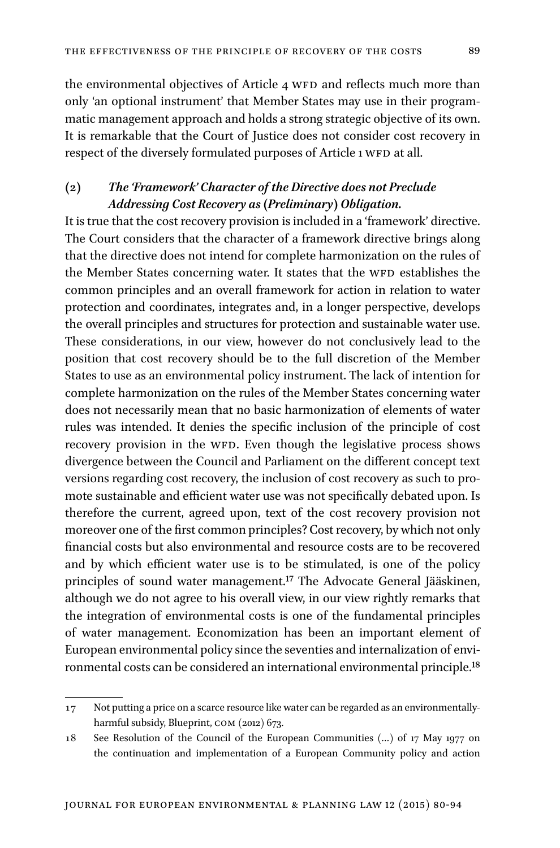the environmental objectives of Article 4 WFD and reflects much more than only 'an optional instrument' that Member States may use in their programmatic management approach and holds a strong strategic objective of its own. It is remarkable that the Court of Justice does not consider cost recovery in respect of the diversely formulated purposes of Article 1 WFD at all.

## **(2)** *The 'Framework' Character of the Directive does not Preclude Addressing Cost Recovery as (Preliminary) Obligation.*

It is true that the cost recovery provision is included in a 'framework' directive. The Court considers that the character of a framework directive brings along that the directive does not intend for complete harmonization on the rules of the Member States concerning water. It states that the WFD establishes the common principles and an overall framework for action in relation to water protection and coordinates, integrates and, in a longer perspective, develops the overall principles and structures for protection and sustainable water use. These considerations, in our view, however do not conclusively lead to the position that cost recovery should be to the full discretion of the Member States to use as an environmental policy instrument. The lack of intention for complete harmonization on the rules of the Member States concerning water does not necessarily mean that no basic harmonization of elements of water rules was intended. It denies the specific inclusion of the principle of cost recovery provision in the WFD. Even though the legislative process shows divergence between the Council and Parliament on the different concept text versions regarding cost recovery, the inclusion of cost recovery as such to promote sustainable and efficient water use was not specifically debated upon. Is therefore the current, agreed upon, text of the cost recovery provision not moreover one of the first common principles? Cost recovery, by which not only financial costs but also environmental and resource costs are to be recovered and by which efficient water use is to be stimulated, is one of the policy principles of sound water management.17 The Advocate General Jääskinen, although we do not agree to his overall view, in our view rightly remarks that the integration of environmental costs is one of the fundamental principles of water management. Economization has been an important element of European environmental policy since the seventies and internalization of environmental costs can be considered an international environmental principle.18

<sup>17</sup> Not putting a price on a scarce resource like water can be regarded as an environmentallyharmful subsidy, Blueprint, com (2012) 673.

<sup>18</sup> See Resolution of the Council of the European Communities (…) of 17 May 1977 on the continuation and implementation of a European Community policy and action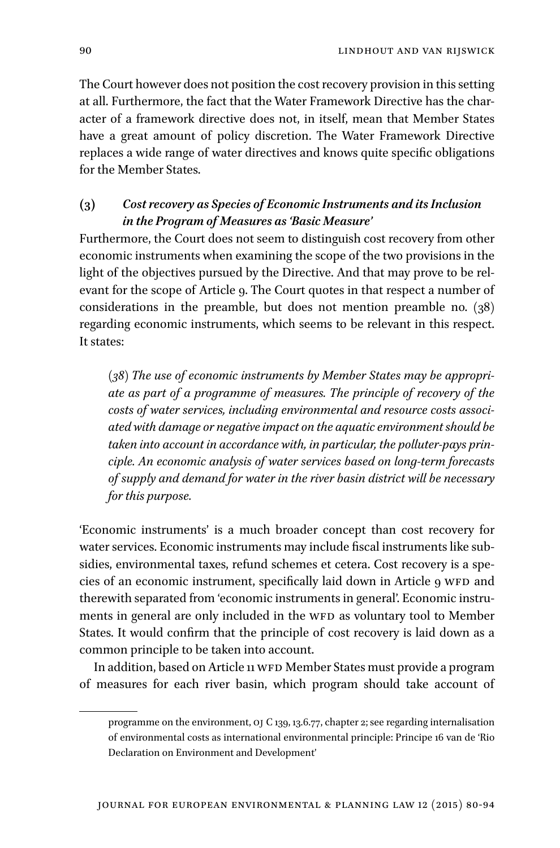The Court however does not position the cost recovery provision in this setting at all. Furthermore, the fact that the Water Framework Directive has the character of a framework directive does not, in itself, mean that Member States have a great amount of policy discretion. The Water Framework Directive replaces a wide range of water directives and knows quite specific obligations for the Member States.

## **(3)** *Cost recovery as Species of Economic Instruments and its Inclusion in the Program of Measures as 'Basic Measure'*

Furthermore, the Court does not seem to distinguish cost recovery from other economic instruments when examining the scope of the two provisions in the light of the objectives pursued by the Directive. And that may prove to be relevant for the scope of Article 9. The Court quotes in that respect a number of considerations in the preamble, but does not mention preamble no. (38) regarding economic instruments, which seems to be relevant in this respect. It states:

*(38) The use of economic instruments by Member States may be appropriate as part of a programme of measures. The principle of recovery of the costs of water services, including environmental and resource costs associated with damage or negative impact on the aquatic environment should be taken into account in accordance with, in particular, the polluter-pays principle. An economic analysis of water services based on long-term forecasts of supply and demand for water in the river basin district will be necessary for this purpose.*

'Economic instruments' is a much broader concept than cost recovery for water services. Economic instruments may include fiscal instruments like subsidies, environmental taxes, refund schemes et cetera. Cost recovery is a species of an economic instrument, specifically laid down in Article 9 WFD and therewith separated from 'economic instruments in general'. Economic instruments in general are only included in the WFD as voluntary tool to Member States. It would confirm that the principle of cost recovery is laid down as a common principle to be taken into account.

In addition, based on Article 11 WFD Member States must provide a program of measures for each river basin, which program should take account of

programme on the environment, oj C 139, 13.6.77, chapter 2; see regarding internalisation of environmental costs as international environmental principle: Principe 16 van de 'Rio Declaration on Environment and Development'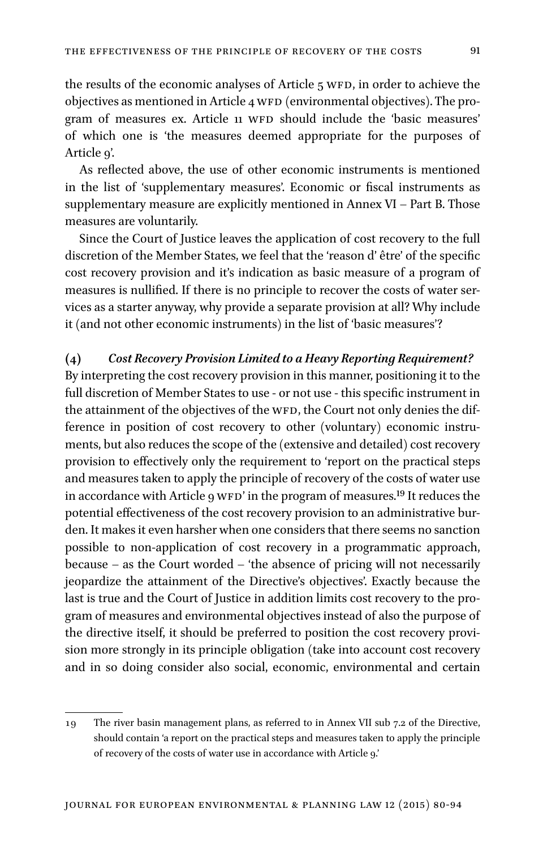the results of the economic analyses of Article 5 WFD, in order to achieve the objectives as mentioned in Article 4 WFD (environmental objectives). The program of measures ex. Article 11 WFD should include the 'basic measures' of which one is 'the measures deemed appropriate for the purposes of Article o'.

As reflected above, the use of other economic instruments is mentioned in the list of 'supplementary measures'. Economic or fiscal instruments as supplementary measure are explicitly mentioned in Annex VI – Part B. Those measures are voluntarily.

Since the Court of Justice leaves the application of cost recovery to the full discretion of the Member States, we feel that the 'reason d' être' of the specific cost recovery provision and it's indication as basic measure of a program of measures is nullified. If there is no principle to recover the costs of water services as a starter anyway, why provide a separate provision at all? Why include it (and not other economic instruments) in the list of 'basic measures'?

#### **(4)** *Cost Recovery Provision Limited to a Heavy Reporting Requirement?*

By interpreting the cost recovery provision in this manner, positioning it to the full discretion of Member States to use - or not use - this specific instrument in the attainment of the objectives of the WFD, the Court not only denies the difference in position of cost recovery to other (voluntary) economic instruments, but also reduces the scope of the (extensive and detailed) cost recovery provision to effectively only the requirement to 'report on the practical steps and measures taken to apply the principle of recovery of the costs of water use in accordance with Article 9 WFD' in the program of measures.<sup>19</sup> It reduces the potential effectiveness of the cost recovery provision to an administrative burden. It makes it even harsher when one considers that there seems no sanction possible to non-application of cost recovery in a programmatic approach, because – as the Court worded – 'the absence of pricing will not necessarily jeopardize the attainment of the Directive's objectives'. Exactly because the last is true and the Court of Justice in addition limits cost recovery to the program of measures and environmental objectives instead of also the purpose of the directive itself, it should be preferred to position the cost recovery provision more strongly in its principle obligation (take into account cost recovery and in so doing consider also social, economic, environmental and certain

<sup>19</sup> The river basin management plans, as referred to in Annex VII sub 7.2 of the Directive, should contain 'a report on the practical steps and measures taken to apply the principle of recovery of the costs of water use in accordance with Article 9.'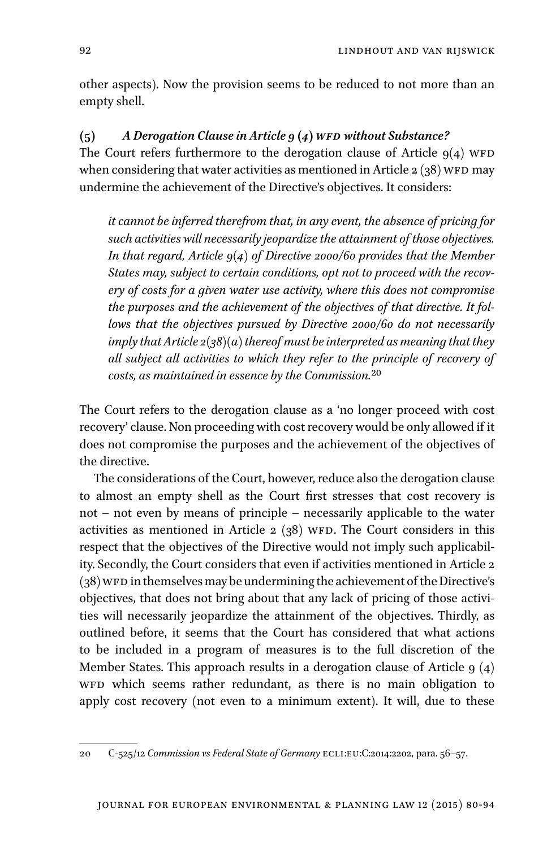other aspects). Now the provision seems to be reduced to not more than an empty shell.

### **(5)** *A Derogation Clause in Article 9 (4) wfd without Substance?*

The Court refers furthermore to the derogation clause of Article  $g(4)$  WFD when considering that water activities as mentioned in Article  $2(38)$  WFD may undermine the achievement of the Directive's objectives. It considers:

*it cannot be inferred therefrom that, in any event, the absence of pricing for such activities will necessarily jeopardize the attainment of those objectives. In that regard, Article 9(4) of Directive 2000/60 provides that the Member States may, subject to certain conditions, opt not to proceed with the recovery of costs for a given water use activity, where this does not compromise the purposes and the achievement of the objectives of that directive. It follows that the objectives pursued by Directive 2000/60 do not necessarily imply that Article 2(38)(a) thereof must be interpreted as meaning that they all subject all activities to which they refer to the principle of recovery of costs, as maintained in essence by the Commission.*20

The Court refers to the derogation clause as a 'no longer proceed with cost recovery' clause. Non proceeding with cost recovery would be only allowed if it does not compromise the purposes and the achievement of the objectives of the directive.

The considerations of the Court, however, reduce also the derogation clause to almost an empty shell as the Court first stresses that cost recovery is not – not even by means of principle – necessarily applicable to the water activities as mentioned in Article  $2$  ( $38$ ) WFD. The Court considers in this respect that the objectives of the Directive would not imply such applicability. Secondly, the Court considers that even if activities mentioned in Article 2  $(38)$  WFD in themselves may be undermining the achievement of the Directive's objectives, that does not bring about that any lack of pricing of those activities will necessarily jeopardize the attainment of the objectives. Thirdly, as outlined before, it seems that the Court has considered that what actions to be included in a program of measures is to the full discretion of the Member States. This approach results in a derogation clause of Article  $9(4)$ wfd which seems rather redundant, as there is no main obligation to apply cost recovery (not even to a minimum extent). It will, due to these

<sup>20</sup> C-525/12 *Commission vs Federal State of Germany* ecli:eu:C:2014:2202, para. 56–57.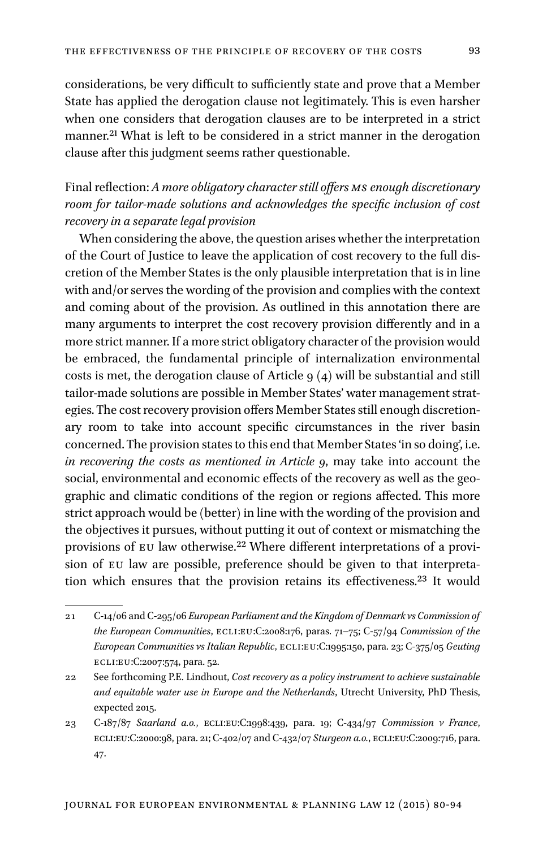considerations, be very difficult to sufficiently state and prove that a Member State has applied the derogation clause not legitimately. This is even harsher when one considers that derogation clauses are to be interpreted in a strict manner.<sup>21</sup> What is left to be considered in a strict manner in the derogation clause after this judgment seems rather questionable.

# Final reflection: *A more obligatory character still offers ms enough discretionary room for tailor-made solutions and acknowledges the specific inclusion of cost recovery in a separate legal provision*

When considering the above, the question arises whether the interpretation of the Court of Justice to leave the application of cost recovery to the full discretion of the Member States is the only plausible interpretation that is in line with and/or serves the wording of the provision and complies with the context and coming about of the provision. As outlined in this annotation there are many arguments to interpret the cost recovery provision differently and in a more strict manner. If a more strict obligatory character of the provision would be embraced, the fundamental principle of internalization environmental costs is met, the derogation clause of Article  $9(4)$  will be substantial and still tailor-made solutions are possible in Member States' water management strategies. The cost recovery provision offers Member States still enough discretionary room to take into account specific circumstances in the river basin concerned. The provision states to this end that Member States 'in so doing', i.e. *in recovering the costs as mentioned in Article 9*, may take into account the social, environmental and economic effects of the recovery as well as the geographic and climatic conditions of the region or regions affected. This more strict approach would be (better) in line with the wording of the provision and the objectives it pursues, without putting it out of context or mismatching the provisions of EU law otherwise.<sup>22</sup> Where different interpretations of a provision of EU law are possible, preference should be given to that interpretation which ensures that the provision retains its effectiveness.<sup>23</sup> It would

- 22 See forthcoming P.E. Lindhout, *Cost recovery as a policy instrument to achieve sustainable and equitable water use in Europe and the Netherlands*, Utrecht University, PhD Thesis, expected 2015.
- 23 C-187/87 *Saarland a.o.*, ecli:eu:C:1998:439, para. 19; C-434/97 *Commission v France*, ecli:eu:C:2000:98, para. 21; C-402/07 and C-432/07 *Sturgeon a.o.*, ecli:eu:C:2009:716, para. 47.

<sup>21</sup> C-14/06 and C-295/06 *European Parliament and the Kingdom of Denmark vs Commission of the European Communities*, ecli:eu:C:2008:176, paras. 71–75; C-57/94 *Commission of the European Communities vs Italian Republic*, ecli:eu:C:1995:150, para. 23; C-375/05 *Geuting* ecli:eu:C:2007:574, para. 52.